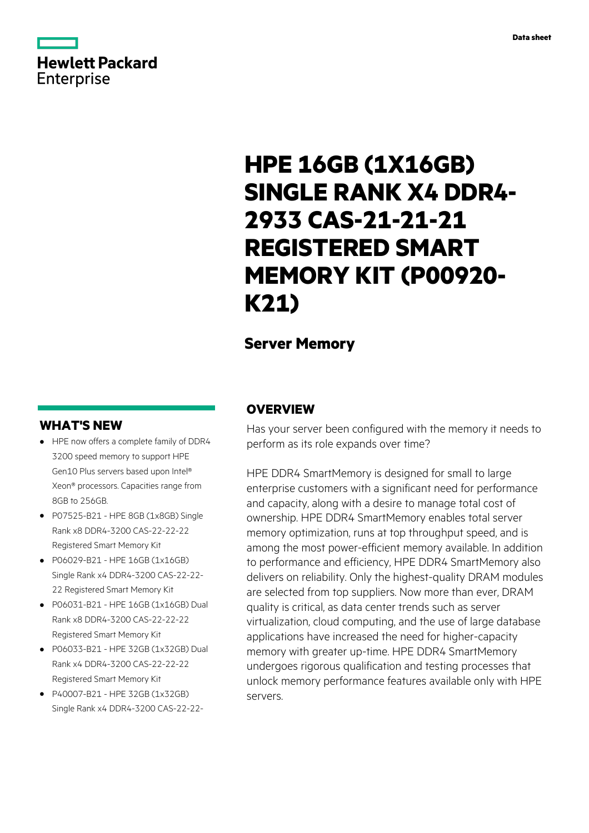# **Hewlett Packard** Enterprise

# **HPE 16GB (1X16GB) SINGLE RANK X4 DDR4- 2933 CAS-21-21-21 REGISTERED SMART MEMORY KIT (P00920- K21)**

# **Server Memory**

# **WHAT'S NEW**

- **·** HPE now offers a complete family of DDR4 3200 speed memory to support HPE Gen10 Plus servers based upon Intel® Xeon® processors. Capacities range from 8GB to 256GB.
- **·** P07525-B21 HPE 8GB (1x8GB) Single Rank x8 DDR4-3200 CAS-22-22-22 Registered Smart Memory Kit
- **·** P06029-B21 HPE 16GB (1x16GB) Single Rank x4 DDR4-3200 CAS-22-22- 22 Registered Smart Memory Kit
- **·** P06031-B21 HPE 16GB (1x16GB) Dual Rank x8 DDR4-3200 CAS-22-22-22 Registered Smart Memory Kit
- **·** P06033-B21 HPE 32GB (1x32GB) Dual Rank x4 DDR4-3200 CAS-22-22-22 Registered Smart Memory Kit
- **·** P40007-B21 HPE 32GB (1x32GB) Single Rank x4 DDR4-3200 CAS-22-22-

# **OVERVIEW**

Has your server been configured with the memory it needs to perform as its role expands over time?

HPE DDR4 SmartMemory is designed for small to large enterprise customers with a significant need for performance and capacity, along with a desire to manage total cost of ownership. HPE DDR4 SmartMemory enables total server memory optimization, runs at top throughput speed, and is among the most power-efficient memory available. In addition to performance and efficiency, HPE DDR4 SmartMemory also delivers on reliability. Only the highest-quality DRAM modules are selected from top suppliers. Now more than ever, DRAM quality is critical, as data center trends such as server virtualization, cloud computing, and the use of large database applications have increased the need for higher-capacity memory with greater up-time. HPE DDR4 SmartMemory undergoes rigorous qualification and testing processes that unlock memory performance features available only with HPE servers.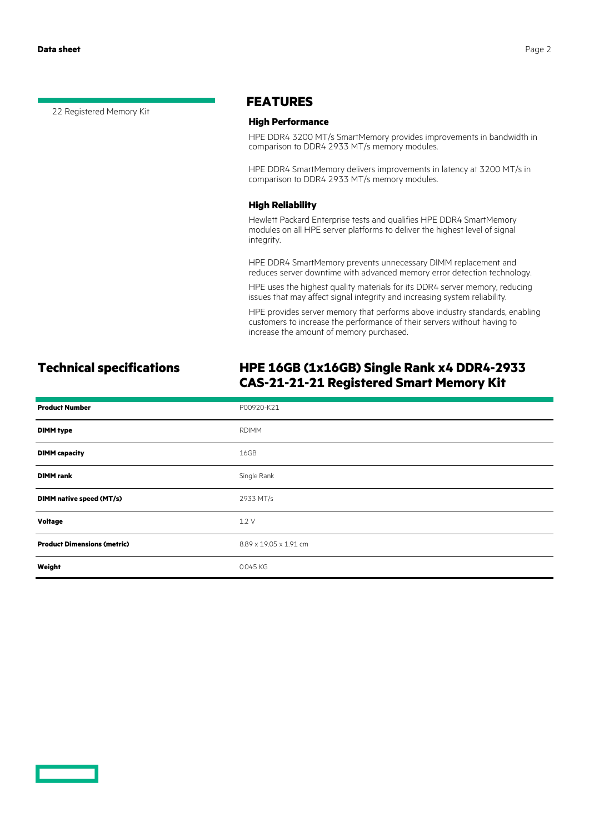22 Registered Memory Kit

### **FEATURES**

#### **High Performance**

HPE DDR4 3200 MT/s SmartMemory provides improvements in bandwidth in comparison to DDR4 2933 MT/s memory modules.

HPE DDR4 SmartMemory delivers improvements in latency at 3200 MT/s in comparison to DDR4 2933 MT/s memory modules.

#### **High Reliability**

Hewlett Packard Enterprise tests and qualifies HPE DDR4 SmartMemory modules on all HPE server platforms to deliver the highest level of signal integrity.

HPE DDR4 SmartMemory prevents unnecessary DIMM replacement and reduces server downtime with advanced memory error detection technology.

HPE uses the highest quality materials for its DDR4 server memory, reducing issues that may affect signal integrity and increasing system reliability.

HPE provides server memory that performs above industry standards, enabling customers to increase the performance of their servers without having to increase the amount of memory purchased.

# **Technical specifications HPE 16GB (1x16GB) Single Rank x4 DDR4-2933 CAS-21-21-21 Registered Smart Memory Kit**

| <b>Product Number</b>              | P00920-K21             |
|------------------------------------|------------------------|
| <b>DIMM type</b>                   | <b>RDIMM</b>           |
| <b>DIMM</b> capacity               | 16GB                   |
| <b>DIMM</b> rank                   | Single Rank            |
| DIMM native speed (MT/s)           | 2933 MT/s              |
| <b>Voltage</b>                     | 1.2V                   |
| <b>Product Dimensions (metric)</b> | 8.89 x 19.05 x 1.91 cm |
| Weight                             | 0.045 KG               |